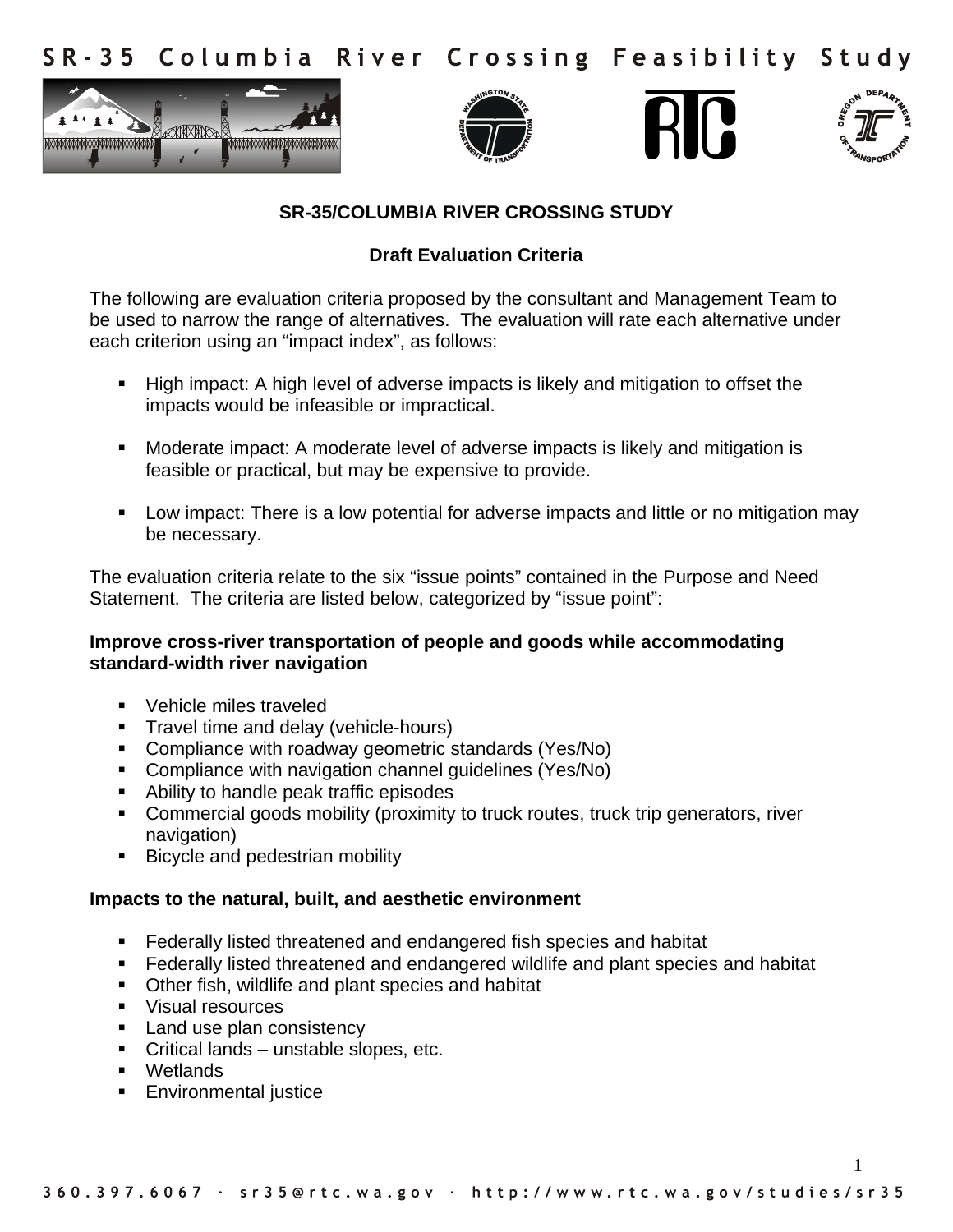Columbia River Crossing Feasibility Study  $S$  R - 3 5









1

# **SR-35/COLUMBIA RIVER CROSSING STUDY**

# **Draft Evaluation Criteria**

The following are evaluation criteria proposed by the consultant and Management Team to be used to narrow the range of alternatives. The evaluation will rate each alternative under each criterion using an "impact index", as follows:

- ! High impact: A high level of adverse impacts is likely and mitigation to offset the impacts would be infeasible or impractical.
- ! Moderate impact: A moderate level of adverse impacts is likely and mitigation is feasible or practical, but may be expensive to provide.
- ! Low impact: There is a low potential for adverse impacts and little or no mitigation may be necessary.

The evaluation criteria relate to the six "issue points" contained in the Purpose and Need Statement. The criteria are listed below, categorized by "issue point":

## **Improve cross-river transportation of people and goods while accommodating standard-width river navigation**

- ! Vehicle miles traveled
- **Travel time and delay (vehicle-hours)**
- **E** Compliance with roadway geometric standards (Yes/No)
- ! Compliance with navigation channel guidelines (Yes/No)
- ! Ability to handle peak traffic episodes
- ! Commercial goods mobility (proximity to truck routes, truck trip generators, river navigation)
- **E** Bicycle and pedestrian mobility

## **Impacts to the natural, built, and aesthetic environment**

- ! Federally listed threatened and endangered fish species and habitat
- ! Federally listed threatened and endangered wildlife and plant species and habitat
- ! Other fish, wildlife and plant species and habitat
- ! Visual resources
- **EXECUTE:** Land use plan consistency
- ! Critical lands unstable slopes, etc.
- ! Wetlands
- **Environmental justice**